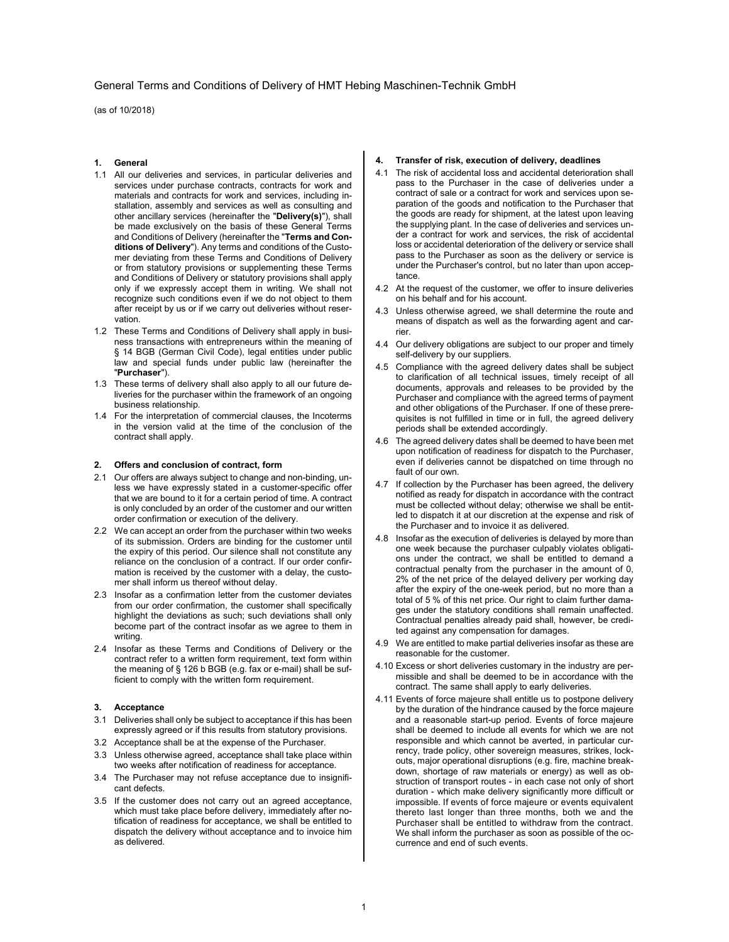## General Terms and Conditions of Delivery of HMT Hebing Maschinen-Technik GmbH

(as of 10/2018)

## 1. General

- 1.1 All our deliveries and services, in particular deliveries and services under purchase contracts, contracts for work and materials and contracts for work and services, including installation, assembly and services as well as consulting and other ancillary services (hereinafter the "Delivery(s)"), shall be made exclusively on the basis of these General Terms and Conditions of Delivery (hereinafter the "Terms and Conditions of Delivery"). Any terms and conditions of the Customer deviating from these Terms and Conditions of Delivery or from statutory provisions or supplementing these Terms and Conditions of Delivery or statutory provisions shall apply only if we expressly accept them in writing. We shall not recognize such conditions even if we do not object to them after receipt by us or if we carry out deliveries without reservation.
- 1.2 These Terms and Conditions of Delivery shall apply in business transactions with entrepreneurs within the meaning of § 14 BGB (German Civil Code), legal entities under public law and special funds under public law (hereinafter the "Purchaser").
- 1.3 These terms of delivery shall also apply to all our future deliveries for the purchaser within the framework of an ongoing business relationship.
- 1.4 For the interpretation of commercial clauses, the Incoterms in the version valid at the time of the conclusion of the contract shall apply.

#### 2. Offers and conclusion of contract, form

- 2.1 Our offers are always subject to change and non-binding, unless we have expressly stated in a customer-specific offer that we are bound to it for a certain period of time. A contract is only concluded by an order of the customer and our written order confirmation or execution of the delivery.
- 2.2 We can accept an order from the purchaser within two weeks of its submission. Orders are binding for the customer until the expiry of this period. Our silence shall not constitute any reliance on the conclusion of a contract. If our order confirmation is received by the customer with a delay, the customer shall inform us thereof without delay.
- 2.3 Insofar as a confirmation letter from the customer deviates from our order confirmation, the customer shall specifically highlight the deviations as such; such deviations shall only become part of the contract insofar as we agree to them in writing.
- 2.4 Insofar as these Terms and Conditions of Delivery or the contract refer to a written form requirement, text form within the meaning of § 126 b BGB (e.g. fax or e-mail) shall be sufficient to comply with the written form requirement.

## 3. Acceptance

- 3.1 Deliveries shall only be subject to acceptance if this has been expressly agreed or if this results from statutory provisions.
- 3.2 Acceptance shall be at the expense of the Purchaser.
- 3.3 Unless otherwise agreed, acceptance shall take place within two weeks after notification of readiness for acceptance.
- 3.4 The Purchaser may not refuse acceptance due to insignificant defects.
- 3.5 If the customer does not carry out an agreed acceptance, which must take place before delivery, immediately after notification of readiness for acceptance, we shall be entitled to dispatch the delivery without acceptance and to invoice him as delivered.

#### 4. Transfer of risk, execution of delivery, deadlines

- 4.1 The risk of accidental loss and accidental deterioration shall pass to the Purchaser in the case of deliveries under a contract of sale or a contract for work and services upon separation of the goods and notification to the Purchaser that the goods are ready for shipment, at the latest upon leaving the supplying plant. In the case of deliveries and services under a contract for work and services, the risk of accidental loss or accidental deterioration of the delivery or service shall pass to the Purchaser as soon as the delivery or service is under the Purchaser's control, but no later than upon acceptance.
- 4.2 At the request of the customer, we offer to insure deliveries on his behalf and for his account.
- 4.3 Unless otherwise agreed, we shall determine the route and means of dispatch as well as the forwarding agent and carrier.
- 4.4 Our delivery obligations are subject to our proper and timely self-delivery by our suppliers.
- 4.5 Compliance with the agreed delivery dates shall be subject to clarification of all technical issues, timely receipt of all documents, approvals and releases to be provided by the Purchaser and compliance with the agreed terms of payment and other obligations of the Purchaser. If one of these prerequisites is not fulfilled in time or in full, the agreed delivery periods shall be extended accordingly.
- 4.6 The agreed delivery dates shall be deemed to have been met upon notification of readiness for dispatch to the Purchaser, even if deliveries cannot be dispatched on time through no fault of our own.
- 4.7 If collection by the Purchaser has been agreed, the delivery notified as ready for dispatch in accordance with the contract must be collected without delay; otherwise we shall be entitled to dispatch it at our discretion at the expense and risk of the Purchaser and to invoice it as delivered.
- 4.8 Insofar as the execution of deliveries is delayed by more than one week because the purchaser culpably violates obligations under the contract, we shall be entitled to demand a contractual penalty from the purchaser in the amount of 0, 2% of the net price of the delayed delivery per working day after the expiry of the one-week period, but no more than a total of 5 % of this net price. Our right to claim further damages under the statutory conditions shall remain unaffected. Contractual penalties already paid shall, however, be credited against any compensation for damages.
- 4.9 We are entitled to make partial deliveries insofar as these are reasonable for the customer.
- 4.10 Excess or short deliveries customary in the industry are permissible and shall be deemed to be in accordance with the contract. The same shall apply to early deliveries.
- 4.11 Events of force majeure shall entitle us to postpone delivery by the duration of the hindrance caused by the force majeure and a reasonable start-up period. Events of force majeure shall be deemed to include all events for which we are not responsible and which cannot be averted, in particular currency, trade policy, other sovereign measures, strikes, lockouts, major operational disruptions (e.g. fire, machine breakdown, shortage of raw materials or energy) as well as obstruction of transport routes - in each case not only of short duration - which make delivery significantly more difficult or impossible. If events of force majeure or events equivalent thereto last longer than three months, both we and the Purchaser shall be entitled to withdraw from the contract. We shall inform the purchaser as soon as possible of the occurrence and end of such events.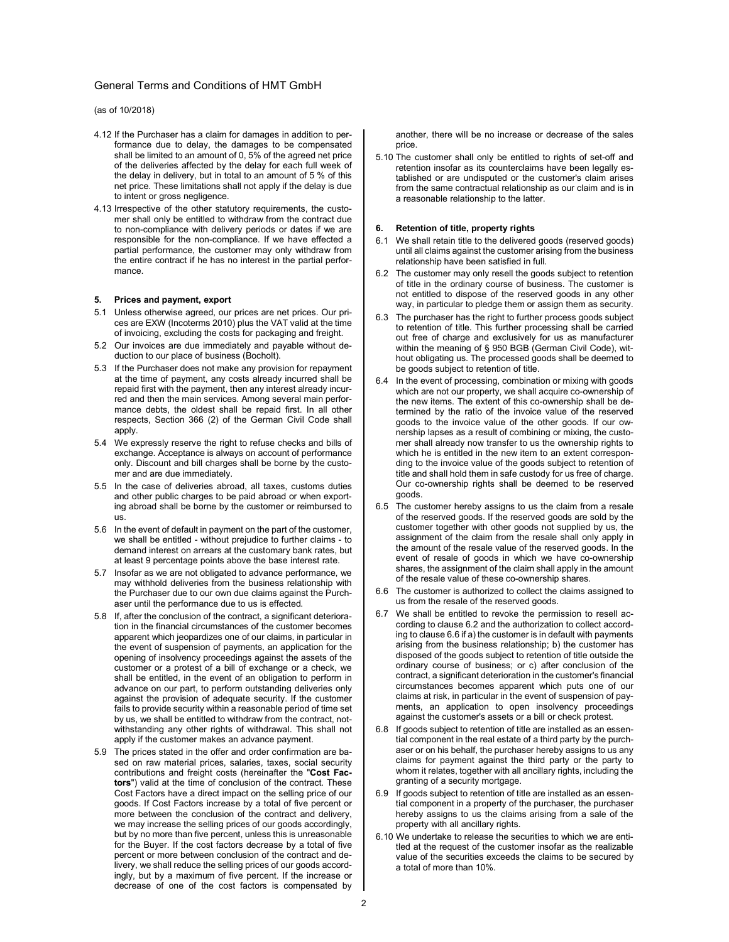# General Terms and Conditions of HMT GmbH

(as of 10/2018)

- 4.12 If the Purchaser has a claim for damages in addition to performance due to delay, the damages to be compensated shall be limited to an amount of 0, 5% of the agreed net price of the deliveries affected by the delay for each full week of the delay in delivery, but in total to an amount of 5 % of this net price. These limitations shall not apply if the delay is due to intent or gross negligence.
- 4.13 Irrespective of the other statutory requirements, the customer shall only be entitled to withdraw from the contract due to non-compliance with delivery periods or dates if we are responsible for the non-compliance. If we have effected a partial performance, the customer may only withdraw from the entire contract if he has no interest in the partial performance.

#### 5. Prices and payment, export

- 5.1 Unless otherwise agreed, our prices are net prices. Our prices are EXW (Incoterms 2010) plus the VAT valid at the time of invoicing, excluding the costs for packaging and freight.
- 5.2 Our invoices are due immediately and payable without deduction to our place of business (Bocholt).
- 5.3 If the Purchaser does not make any provision for repayment at the time of payment, any costs already incurred shall be repaid first with the payment, then any interest already incurred and then the main services. Among several main performance debts, the oldest shall be repaid first. In all other respects, Section 366 (2) of the German Civil Code shall apply.
- 5.4 We expressly reserve the right to refuse checks and bills of exchange. Acceptance is always on account of performance only. Discount and bill charges shall be borne by the customer and are due immediately.
- 5.5 In the case of deliveries abroad, all taxes, customs duties and other public charges to be paid abroad or when exporting abroad shall be borne by the customer or reimbursed to us.
- 5.6 In the event of default in payment on the part of the customer, we shall be entitled - without prejudice to further claims - to demand interest on arrears at the customary bank rates, but at least 9 percentage points above the base interest rate.
- 5.7 Insofar as we are not obligated to advance performance, we may withhold deliveries from the business relationship with the Purchaser due to our own due claims against the Purchaser until the performance due to us is effected.
- 5.8 If, after the conclusion of the contract, a significant deterioration in the financial circumstances of the customer becomes apparent which jeopardizes one of our claims, in particular in the event of suspension of payments, an application for the opening of insolvency proceedings against the assets of the customer or a protest of a bill of exchange or a check, we shall be entitled, in the event of an obligation to perform in advance on our part, to perform outstanding deliveries only against the provision of adequate security. If the customer fails to provide security within a reasonable period of time set by us, we shall be entitled to withdraw from the contract, notwithstanding any other rights of withdrawal. This shall not apply if the customer makes an advance payment.
- 5.9 The prices stated in the offer and order confirmation are based on raw material prices, salaries, taxes, social security contributions and freight costs (hereinafter the "Cost Factors") valid at the time of conclusion of the contract. These Cost Factors have a direct impact on the selling price of our goods. If Cost Factors increase by a total of five percent or more between the conclusion of the contract and delivery, we may increase the selling prices of our goods accordingly, but by no more than five percent, unless this is unreasonable for the Buyer. If the cost factors decrease by a total of five percent or more between conclusion of the contract and delivery, we shall reduce the selling prices of our goods accordingly, but by a maximum of five percent. If the increase or decrease of one of the cost factors is compensated by

another, there will be no increase or decrease of the sales price.

5.10 The customer shall only be entitled to rights of set-off and retention insofar as its counterclaims have been legally established or are undisputed or the customer's claim arises from the same contractual relationship as our claim and is in a reasonable relationship to the latter.

#### 6. Retention of title, property rights

- 6.1 We shall retain title to the delivered goods (reserved goods) until all claims against the customer arising from the business relationship have been satisfied in full.
- 6.2 The customer may only resell the goods subject to retention of title in the ordinary course of business. The customer is not entitled to dispose of the reserved goods in any other way, in particular to pledge them or assign them as security.
- 6.3 The purchaser has the right to further process goods subject to retention of title. This further processing shall be carried out free of charge and exclusively for us as manufacturer within the meaning of § 950 BGB (German Civil Code), without obligating us. The processed goods shall be deemed to be goods subject to retention of title.
- 6.4 In the event of processing, combination or mixing with goods which are not our property, we shall acquire co-ownership of the new items. The extent of this co-ownership shall be determined by the ratio of the invoice value of the reserved goods to the invoice value of the other goods. If our ownership lapses as a result of combining or mixing, the customer shall already now transfer to us the ownership rights to which he is entitled in the new item to an extent corresponding to the invoice value of the goods subject to retention of title and shall hold them in safe custody for us free of charge. Our co-ownership rights shall be deemed to be reserved goods.
- 6.5 The customer hereby assigns to us the claim from a resale of the reserved goods. If the reserved goods are sold by the customer together with other goods not supplied by us, the assignment of the claim from the resale shall only apply in the amount of the resale value of the reserved goods. In the event of resale of goods in which we have co-ownership shares, the assignment of the claim shall apply in the amount of the resale value of these co-ownership shares.
- 6.6 The customer is authorized to collect the claims assigned to us from the resale of the reserved goods.
- 6.7 We shall be entitled to revoke the permission to resell according to clause 6.2 and the authorization to collect according to clause 6.6 if a) the customer is in default with payments arising from the business relationship; b) the customer has disposed of the goods subject to retention of title outside the ordinary course of business; or c) after conclusion of the contract, a significant deterioration in the customer's financial circumstances becomes apparent which puts one of our claims at risk, in particular in the event of suspension of payments, an application to open insolvency proceedings against the customer's assets or a bill or check protest.
- 6.8 If goods subject to retention of title are installed as an essential component in the real estate of a third party by the purchaser or on his behalf, the purchaser hereby assigns to us any claims for payment against the third party or the party to whom it relates, together with all ancillary rights, including the granting of a security mortgage.
- 6.9 If goods subject to retention of title are installed as an essential component in a property of the purchaser, the purchaser hereby assigns to us the claims arising from a sale of the property with all ancillary rights.
- 6.10 We undertake to release the securities to which we are entitled at the request of the customer insofar as the realizable value of the securities exceeds the claims to be secured by a total of more than 10%.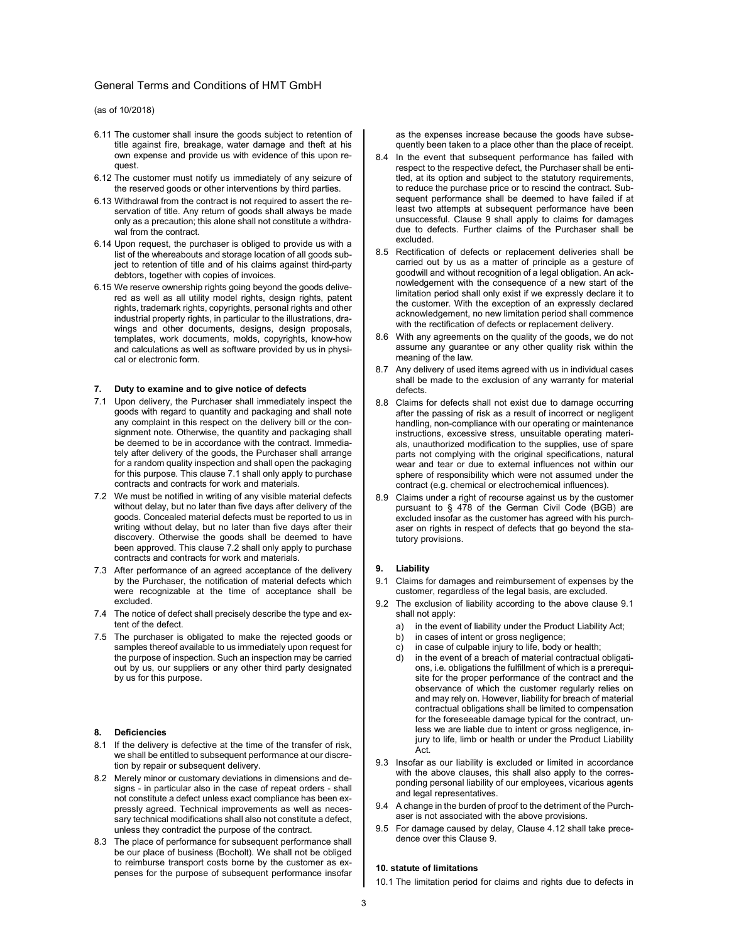# General Terms and Conditions of HMT GmbH

(as of 10/2018)

- 6.11 The customer shall insure the goods subject to retention of title against fire, breakage, water damage and theft at his own expense and provide us with evidence of this upon request.
- 6.12 The customer must notify us immediately of any seizure of the reserved goods or other interventions by third parties.
- 6.13 Withdrawal from the contract is not required to assert the reservation of title. Any return of goods shall always be made only as a precaution; this alone shall not constitute a withdrawal from the contract.
- 6.14 Upon request, the purchaser is obliged to provide us with a list of the whereabouts and storage location of all goods subject to retention of title and of his claims against third-party debtors, together with copies of invoices.
- 6.15 We reserve ownership rights going beyond the goods delivered as well as all utility model rights, design rights, patent rights, trademark rights, copyrights, personal rights and other industrial property rights, in particular to the illustrations, drawings and other documents, designs, design proposals, templates, work documents, molds, copyrights, know-how and calculations as well as software provided by us in physical or electronic form.

#### 7. Duty to examine and to give notice of defects

- 7.1 Upon delivery, the Purchaser shall immediately inspect the goods with regard to quantity and packaging and shall note any complaint in this respect on the delivery bill or the consignment note. Otherwise, the quantity and packaging shall be deemed to be in accordance with the contract. Immediately after delivery of the goods, the Purchaser shall arrange for a random quality inspection and shall open the packaging for this purpose. This clause 7.1 shall only apply to purchase contracts and contracts for work and materials.
- 7.2 We must be notified in writing of any visible material defects without delay, but no later than five days after delivery of the goods. Concealed material defects must be reported to us in writing without delay, but no later than five days after their discovery. Otherwise the goods shall be deemed to have been approved. This clause 7.2 shall only apply to purchase contracts and contracts for work and materials.
- 7.3 After performance of an agreed acceptance of the delivery by the Purchaser, the notification of material defects which were recognizable at the time of acceptance shall be excluded.
- 7.4 The notice of defect shall precisely describe the type and extent of the defect.
- 7.5 The purchaser is obligated to make the rejected goods or samples thereof available to us immediately upon request for the purpose of inspection. Such an inspection may be carried out by us, our suppliers or any other third party designated by us for this purpose.

#### 8. Deficiencies

- 8.1 If the delivery is defective at the time of the transfer of risk, we shall be entitled to subsequent performance at our discretion by repair or subsequent delivery.
- 8.2 Merely minor or customary deviations in dimensions and designs - in particular also in the case of repeat orders - shall not constitute a defect unless exact compliance has been expressly agreed. Technical improvements as well as necessary technical modifications shall also not constitute a defect, unless they contradict the purpose of the contract.
- 8.3 The place of performance for subsequent performance shall be our place of business (Bocholt). We shall not be obliged to reimburse transport costs borne by the customer as expenses for the purpose of subsequent performance insofar

as the expenses increase because the goods have subsequently been taken to a place other than the place of receipt.

- 8.4 In the event that subsequent performance has failed with respect to the respective defect, the Purchaser shall be entitled, at its option and subject to the statutory requirements, to reduce the purchase price or to rescind the contract. Subsequent performance shall be deemed to have failed if at least two attempts at subsequent performance have been unsuccessful. Clause 9 shall apply to claims for damages due to defects. Further claims of the Purchaser shall be excluded.
- 8.5 Rectification of defects or replacement deliveries shall be carried out by us as a matter of principle as a gesture of goodwill and without recognition of a legal obligation. An acknowledgement with the consequence of a new start of the limitation period shall only exist if we expressly declare it to the customer. With the exception of an expressly declared acknowledgement, no new limitation period shall commence with the rectification of defects or replacement delivery.
- 8.6 With any agreements on the quality of the goods, we do not assume any guarantee or any other quality risk within the meaning of the law.
- 8.7 Any delivery of used items agreed with us in individual cases shall be made to the exclusion of any warranty for material defects.
- 8.8 Claims for defects shall not exist due to damage occurring after the passing of risk as a result of incorrect or negligent handling, non-compliance with our operating or maintenance instructions, excessive stress, unsuitable operating materials, unauthorized modification to the supplies, use of spare parts not complying with the original specifications, natural wear and tear or due to external influences not within our sphere of responsibility which were not assumed under the contract (e.g. chemical or electrochemical influences).
- 8.9 Claims under a right of recourse against us by the customer pursuant to § 478 of the German Civil Code (BGB) are excluded insofar as the customer has agreed with his purchaser on rights in respect of defects that go beyond the statutory provisions.

## 9. Liability

- 9.1 Claims for damages and reimbursement of expenses by the customer, regardless of the legal basis, are excluded.
- 9.2 The exclusion of liability according to the above clause 9.1 shall not apply:
	- in the event of liability under the Product Liability Act;
	- b) in cases of intent or gross negligence;
	- c) in case of culpable injury to life, body or health;
	- d) in the event of a breach of material contractual obligations, i.e. obligations the fulfillment of which is a prerequisite for the proper performance of the contract and the observance of which the customer regularly relies on and may rely on. However, liability for breach of material contractual obligations shall be limited to compensation for the foreseeable damage typical for the contract, unless we are liable due to intent or gross negligence, injury to life, limb or health or under the Product Liability Act.
- 9.3 Insofar as our liability is excluded or limited in accordance with the above clauses, this shall also apply to the corresponding personal liability of our employees, vicarious agents and legal representatives.
- 9.4 A change in the burden of proof to the detriment of the Purchaser is not associated with the above provisions.
- 9.5 For damage caused by delay, Clause 4.12 shall take precedence over this Clause 9.

# 10. statute of limitations

10.1 The limitation period for claims and rights due to defects in